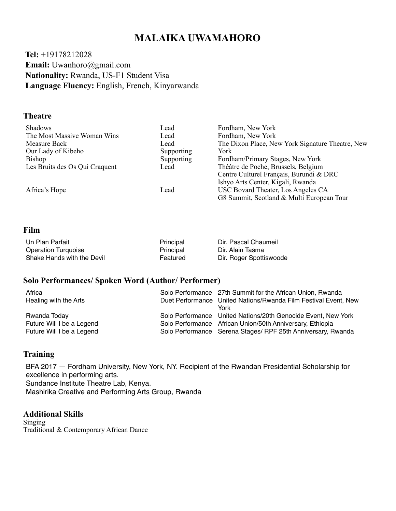# **MALAIKA UWAMAHORO**

 **Tel:** +19178212028  **Email:** Uwanhoro@[gmail.com](http://gmail.com)  **Nationality:** Rwanda, US-F1 Student Visa  **Language Fluency:** English, French, Kinyarwanda

## **Theatre**

| Lead       | Fordham, New York                                |
|------------|--------------------------------------------------|
| Lead       | Fordham, New York                                |
| Lead       | The Dixon Place, New York Signature Theatre, New |
| Supporting | York                                             |
| Supporting | Fordham/Primary Stages, New York                 |
| Lead       | Théâtre de Poche, Brussels, Belgium              |
|            | Centre Culturel Français, Burundi & DRC          |
|            | Ishyo Arts Center, Kigali, Rwanda                |
| Lead       | USC Bovard Theater, Los Angeles CA               |
|            | G8 Summit, Scotland & Multi European Tour        |
|            |                                                  |

#### **Film**

| Un Plan Parfait            | Principal | Dir. Pascal Chaumeil    |
|----------------------------|-----------|-------------------------|
| <b>Operation Turquoise</b> | Principal | Dir. Alain Tasma        |
| Shake Hands with the Devil | Featured  | Dir. Roger Spottiswoode |

#### **Solo Performances/ Spoken Word (Author/ Performer)**

| Africa<br>Healing with the Arts                                        | Solo Performance 27th Summit for the African Union, Rwanda<br>Duet Performance United Nations/Rwanda Film Festival Event, New<br>York                                                      |
|------------------------------------------------------------------------|--------------------------------------------------------------------------------------------------------------------------------------------------------------------------------------------|
| Rwanda Today<br>Future Will I be a Legend<br>Future Will I be a Legend | Solo Performance United Nations/20th Genocide Event, New York<br>Solo Performance African Union/50th Anniversary, Ethiopia<br>Solo Performance Serena Stages/ RPF 25th Anniversary, Rwanda |

# **Training**

BFA 2017 — Fordham University, New York, NY. Recipient of the Rwandan Presidential Scholarship for excellence in performing arts. Sundance Institute Theatre Lab, Kenya. Mashirika Creative and Performing Arts Group, Rwanda

## **Additional Skills**

Singing Traditional & Contemporary African Dance